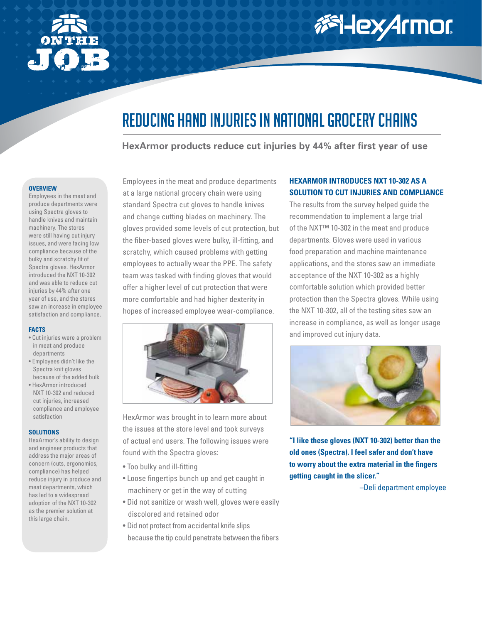

# 添HexArmor

### Reducing hand injuries in national grocery chains

**HexArmor products reduce cut injuries by 44% after first year of use**

#### **Overview**

Employees in the meat and produce departments were using Spectra gloves to handle knives and maintain machinery. The stores were still having cut injury issues, and were facing low compliance because of the bulky and scratchy fit of Spectra gloves. HexArmor introduced the NXT 10-302 and was able to reduce cut injuries by 44% after one year of use, and the stores saw an increase in employee satisfaction and compliance.

#### **Facts**

- Cut injuries were a problem in meat and produce departments
- Employees didn't like the Spectra knit gloves because of the added bulk
- HexArmor introduced NXT 10-302 and reduced cut injuries, increased compliance and employee satisfaction

#### **Solutions**

HexArmor's ability to design and engineer products that address the major areas of concern (cuts, ergonomics, compliance) has helped reduce injury in produce and meat departments, which has led to a widespread adoption of the NXT 10-302 as the premier solution at this large chain.

Employees in the meat and produce departments at a large national grocery chain were using standard Spectra cut gloves to handle knives and change cutting blades on machinery. The gloves provided some levels of cut protection, but the fiber-based gloves were bulky, ill-fitting, and scratchy, which caused problems with getting employees to actually wear the PPE. The safety team was tasked with finding gloves that would offer a higher level of cut protection that were more comfortable and had higher dexterity in hopes of increased employee wear-compliance.



HexArmor was brought in to learn more about the issues at the store level and took surveys of actual end users. The following issues were found with the Spectra gloves:

- Too bulky and ill-fitting
- Loose fingertips bunch up and get caught in machinery or get in the way of cutting
- Did not sanitize or wash well, gloves were easily discolored and retained odor
- Did not protect from accidental knife slips because the tip could penetrate between the fibers

### **HexArmor introduces NXT 10-302 as a solution to cut injuries and compliance**

The results from the survey helped guide the recommendation to implement a large trial of the NXT™ 10-302 in the meat and produce departments. Gloves were used in various food preparation and machine maintenance applications, and the stores saw an immediate acceptance of the NXT 10-302 as a highly comfortable solution which provided better protection than the Spectra gloves. While using the NXT 10-302, all of the testing sites saw an increase in compliance, as well as longer usage and improved cut injury data.



**"I like these gloves (NXT 10-302) better than the old ones (Spectra). I feel safer and don't have to worry about the extra material in the fingers getting caught in the slicer."** 

–Deli department employee